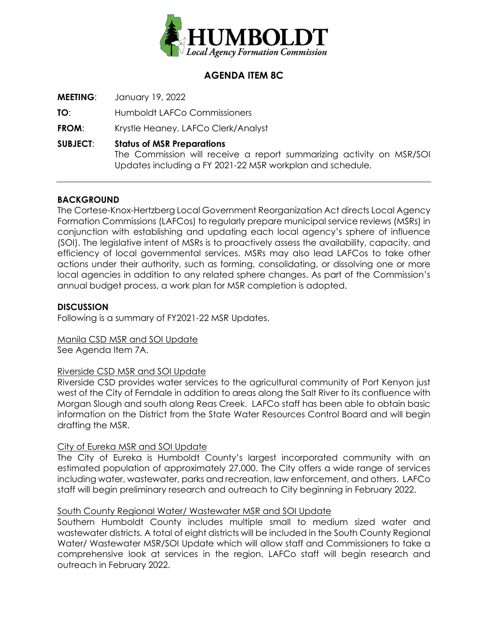

# **AGENDA ITEM 8C**

**MEETING**: January 19, 2022

**TO**: Humboldt LAFCo Commissioners

**FROM**: Krystle Heaney, LAFCo Clerk/Analyst

**SUBJECT**: **Status of MSR Preparations**

The Commission will receive a report summarizing activity on MSR/SOI Updates including a FY 2021-22 MSR workplan and schedule.

## **BACKGROUND**

The Cortese-Knox-Hertzberg Local Government Reorganization Act directs Local Agency Formation Commissions (LAFCos) to regularly prepare municipal service reviews (MSRs) in conjunction with establishing and updating each local agency's sphere of influence (SOI). The legislative intent of MSRs is to proactively assess the availability, capacity, and efficiency of local governmental services. MSRs may also lead LAFCos to take other actions under their authority, such as forming, consolidating, or dissolving one or more local agencies in addition to any related sphere changes. As part of the Commission's annual budget process, a work plan for MSR completion is adopted.

## **DISCUSSION**

Following is a summary of FY2021-22 MSR Updates.

Manila CSD MSR and SOI Update See Agenda Item 7A.

## Riverside CSD MSR and SOI Update

Riverside CSD provides water services to the agricultural community of Port Kenyon just west of the City of Ferndale in addition to areas along the Salt River to its confluence with Morgan Slough and south along Reas Creek. LAFCo staff has been able to obtain basic information on the District from the State Water Resources Control Board and will begin drafting the MSR.

## City of Eureka MSR and SOI Update

The City of Eureka is Humboldt County's largest incorporated community with an estimated population of approximately 27,000. The City offers a wide range of services including water, wastewater, parks and recreation, law enforcement, and others. LAFCo staff will begin preliminary research and outreach to City beginning in February 2022.

## South County Regional Water/ Wastewater MSR and SOI Update

Southern Humboldt County includes multiple small to medium sized water and wastewater districts. A total of eight districts will be included in the South County Regional Water/ Wastewater MSR/SOI Update which will allow staff and Commissioners to take a comprehensive look at services in the region. LAFCo staff will begin research and outreach in February 2022.